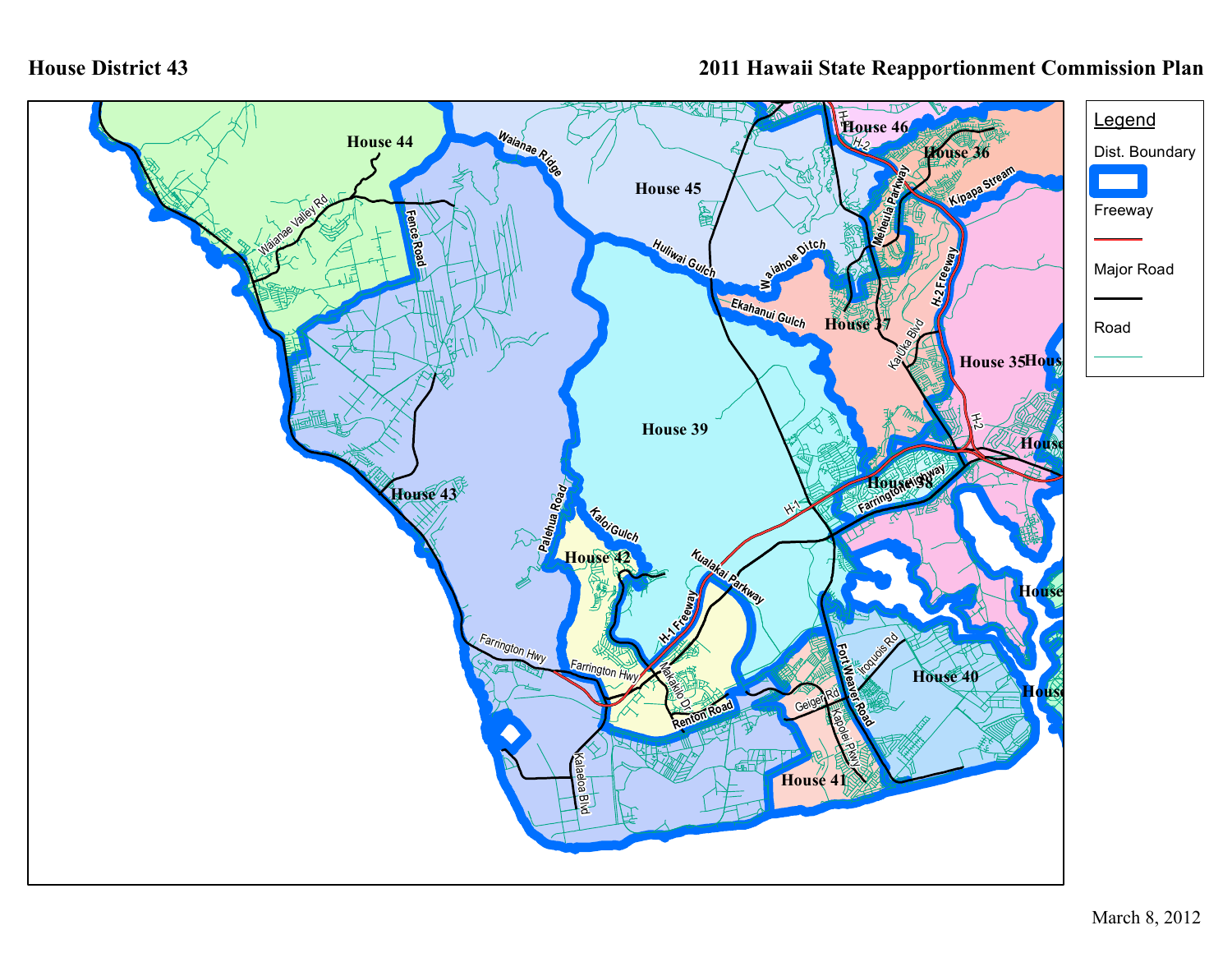## **House District 43**

## **2011 Hawaii State Reapportionment Commission Plan**

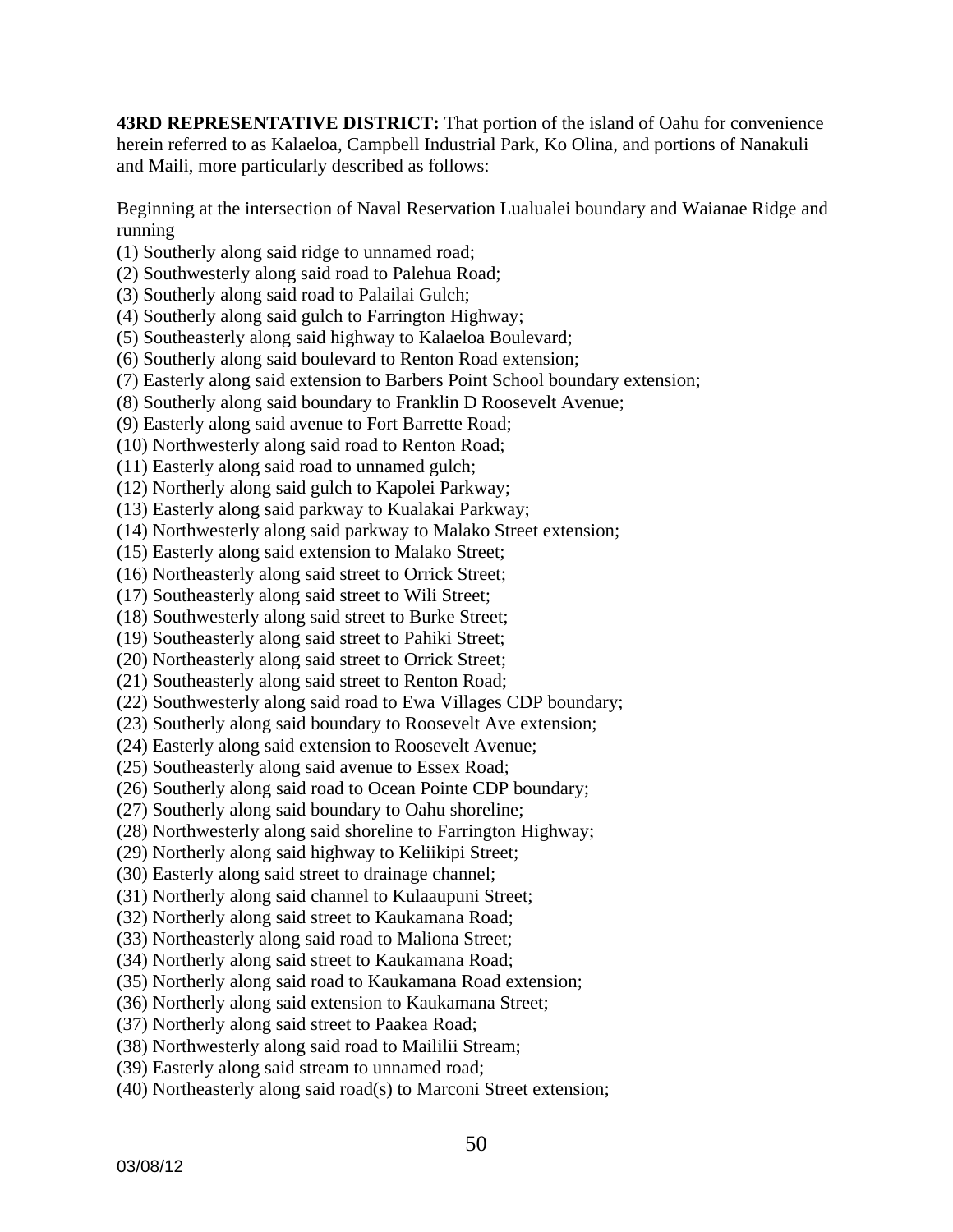**43RD REPRESENTATIVE DISTRICT:** That portion of the island of Oahu for convenience herein referred to as Kalaeloa, Campbell Industrial Park, Ko Olina, and portions of Nanakuli and Maili, more particularly described as follows:

Beginning at the intersection of Naval Reservation Lualualei boundary and Waianae Ridge and running

(1) Southerly along said ridge to unnamed road;

(2) Southwesterly along said road to Palehua Road;

(3) Southerly along said road to Palailai Gulch;

(4) Southerly along said gulch to Farrington Highway;

(5) Southeasterly along said highway to Kalaeloa Boulevard;

(6) Southerly along said boulevard to Renton Road extension;

(7) Easterly along said extension to Barbers Point School boundary extension;

(8) Southerly along said boundary to Franklin D Roosevelt Avenue;

(9) Easterly along said avenue to Fort Barrette Road;

(10) Northwesterly along said road to Renton Road;

(11) Easterly along said road to unnamed gulch;

(12) Northerly along said gulch to Kapolei Parkway;

(13) Easterly along said parkway to Kualakai Parkway;

(14) Northwesterly along said parkway to Malako Street extension;

(15) Easterly along said extension to Malako Street;

(16) Northeasterly along said street to Orrick Street;

(17) Southeasterly along said street to Wili Street;

(18) Southwesterly along said street to Burke Street;

(19) Southeasterly along said street to Pahiki Street;

(20) Northeasterly along said street to Orrick Street;

(21) Southeasterly along said street to Renton Road;

(22) Southwesterly along said road to Ewa Villages CDP boundary;

(23) Southerly along said boundary to Roosevelt Ave extension;

(24) Easterly along said extension to Roosevelt Avenue;

(25) Southeasterly along said avenue to Essex Road;

(26) Southerly along said road to Ocean Pointe CDP boundary;

(27) Southerly along said boundary to Oahu shoreline;

(28) Northwesterly along said shoreline to Farrington Highway;

(29) Northerly along said highway to Keliikipi Street;

(30) Easterly along said street to drainage channel;

(31) Northerly along said channel to Kulaaupuni Street;

(32) Northerly along said street to Kaukamana Road;

(33) Northeasterly along said road to Maliona Street;

(34) Northerly along said street to Kaukamana Road;

(35) Northerly along said road to Kaukamana Road extension;

(36) Northerly along said extension to Kaukamana Street;

(37) Northerly along said street to Paakea Road;

(38) Northwesterly along said road to Maililii Stream;

(39) Easterly along said stream to unnamed road;

(40) Northeasterly along said road(s) to Marconi Street extension;